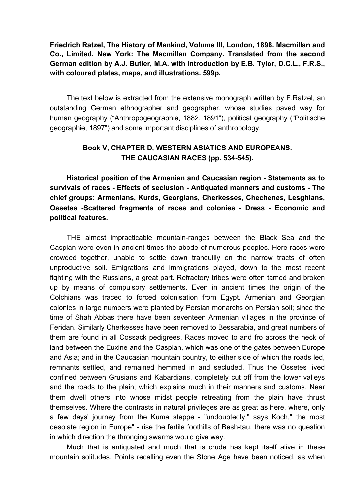**Friedrich Ratzel, The History of Mankind, Volume III, London, 1898. Macmillan and Co., Limited. New York: The Macmillan Company. Translated from the second German edition by A.J. Butler, M.A. with introduction by E.B. Tylor, D.C.L., F.R.S., with coloured plates, maps, and illustrations. 599p.** 

The text below is extracted from the extensive monograph written by F.Ratzel, an outstanding German ethnographer and geographer, whose studies paved way for human geography ("Anthropogeographie, 1882, 1891"), political geography ("Politische geographie, 1897") and some important disciplines of anthropology.

## **Book V, CHAPTER D, WESTERN ASIATICS AND EUROPEANS. THE CAUCASIAN RACES (pp. 534-545).**

**Historical position of the Armenian and Caucasian region - Statements as to survivals of races - Effects of seclusion - Antiquated manners and customs - The chief groups: Armenians, Kurds, Georgians, Cherkesses, Chechenes, Lesghians, Ossetes -Scattered fragments of races and colonies - Dress - Economic and political features.** 

THE almost impracticable mountain-ranges between the Black Sea and the Caspian were even in ancient times the abode of numerous peoples. Here races were crowded together, unable to settle down tranquilly on the narrow tracts of often unproductive soil. Emigrations and immigrations played, down to the most recent fighting with the Russians, a great part. Refractory tribes were often tamed and broken up by means of compulsory settlements. Even in ancient times the origin of the Colchians was traced to forced colonisation from Egypt. Armenian and Georgian colonies in large numbers were planted by Persian monarchs on Persian soil; since the time of Shah Abbas there have been seventeen Armenian villages in the province of Feridan. Similarly Cherkesses have been removed to Bessarabia, and great numbers of them are found in all Cossack pedigrees. Races moved to and fro across the neck of land between the Euxine and the Caspian, which was one of the gates between Europe and Asia; and in the Caucasian mountain country, to either side of which the roads led, remnants settled, and remained hemmed in and secluded. Thus the Ossetes lived confined between Grusians and Kabardians, completely cut off from the lower valleys and the roads to the plain; which explains much in their manners and customs. Near them dwell others into whose midst people retreating from the plain have thrust themselves. Where the contrasts in natural privileges are as great as here, where, only a few days' journey from the Kuma steppe - "undoubtedly," says Koch," the most desolate region in Europe" - rise the fertile foothills of Besh-tau, there was no question in which direction the thronging swarms would give way.

Much that is antiquated and much that is crude has kept itself alive in these mountain solitudes. Points recalling even the Stone Age have been noticed, as when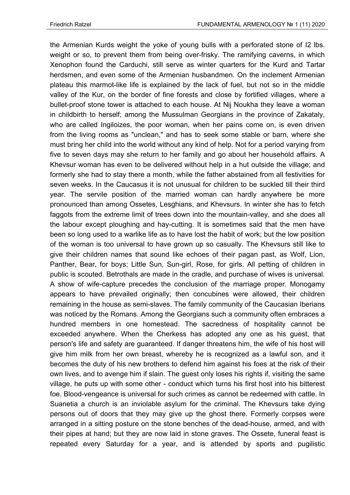the Armenian Kurds weight the yoke of young bulls with a perforated stone of I2 lbs. weight or so, to prevent them from being over-frisky. The ramifying caverns, in which Xenophon found the Carduchi, still serve as winter quarters for the Kurd and Tartar herdsmen, and even some of the Armenian husbandmen. On the inclement Armenian plateau this marmot-like life is explained by the lack of fuel, but not so in the middle valley of the Kur, on the border of fine forests and close by fortified villages, where a bullet-proof stone tower is attached to each house. At Nij Noukha they leave a woman in childbirth to herself; among the Mussulman Georgians in the province of Zakataly, who are called Ingiloizes, the poor woman, when her pains come on, is even driven from the living rooms as "unclean," and has to seek some stable or barn, where she must bring her child into the world without any kind of help. Not for a period varying from five to seven days may she return to her family and go about her household affairs. A Khevsur woman has even to be delivered without help in a hut outside the village; and formerly she had to stay there a month, while the father abstained from all festivities for seven weeks. In the Caucasus it is not unusual for children to be suckled till their third year. The servile position of the married woman can hardly anywhere be more pronounced than among Ossetes, Lesghians, and Khevsurs. In winter she has to fetch faggots from the extreme limit of trees down into the mountain-valley, and she does all the labour except ploughing and hay-cutting. It is sometimes said that the men have been so long used to a warlike life as to have lost the habit of work; but the low position of the woman is too universal to have grown up so casually. The Khevsurs still like to give their children names that sound like echoes of their pagan past, as Wolf, Lion, Panther, Bear, for boys; Little Sun, Sun-girl, Rose, for girls. All petting of children in public is scouted. Betrothals are made in the cradle, and purchase of wives is universal. A show of wife-capture precedes the conclusion of the marriage proper. Monogamy appears to have prevailed originally; then concubines were allowed, their children remaining in the house as semi-slaves. The family community of the Caucasian Iberians was noticed by the Romans. Among the Georgians such a community often embraces a hundred members in one homestead. The sacredness of hospitality cannot be exceeded anywhere. When the Cherkess has adopted any one as his guest, that person's life and safety are guaranteed. If danger threatens him, the wife of his host will give him milk from her own breast, whereby he is recognized as a lawful son, and it becomes the duty of his new brothers to defend him against his foes at the risk of their own lives, and to avenge him if slain. The guest only loses his rights if, visiting the same village, he puts up with some other - conduct which turns his first host into his bitterest foe. Blood-vengeance is universal for such crimes as cannot be redeemed with cattle. In Suanetia a church is an inviolable asylum for the criminal. The Khevsurs take dying persons out of doors that they may give up the ghost there. Formerly corpses were arranged in a sitting posture on the stone benches of the dead-house, armed, and with their pipes at hand; but they are now laid in stone graves. The Ossete, funeral feast is repeated every Saturday for a year, and is attended by sports and pugilistic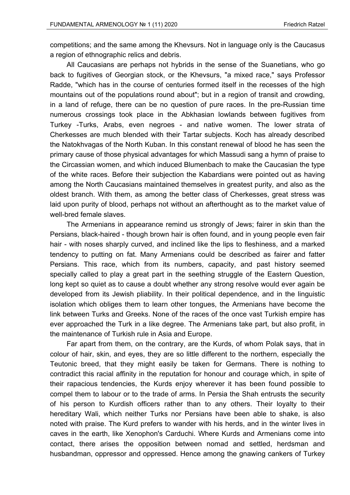competitions; and the same among the Khevsurs. Not in language only is the Caucasus a region of ethnographic relics and debris.

All Caucasians are perhaps not hybrids in the sense of the Suanetians, who go back to fugitives of Georgian stock, or the Khevsurs, "a mixed race," says Professor Radde, "which has in the course of centuries formed itself in the recesses of the high mountains out of the populations round about"; but in a region of transit and crowding, in a land of refuge, there can be no question of pure races. In the pre-Russian time numerous crossings took place in the Abkhasian lowlands between fugitives from Turkey -Turks, Arabs, even negroes - and native women. The lower strata of Cherkesses are much blended with their Tartar subjects. Koch has already described the Natokhvagas of the North Kuban. In this constant renewal of blood he has seen the primary cause of those physical advantages for which Massudi sang a hymn of praise to the Circassian women, and which induced Blumenbach to make the Caucasian the type of the white races. Before their subjection the Kabardians were pointed out as having among the North Caucasians maintained themselves in greatest purity, and also as the oldest branch. With them, as among the better class of Cherkesses, great stress was laid upon purity of blood, perhaps not without an afterthought as to the market value of well-bred female slaves.

The Armenians in appearance remind us strongly of Jews; fairer in skin than the Persians, black-haired - though brown hair is often found, and in young people even fair hair - with noses sharply curved, and inclined like the lips to fleshiness, and a marked tendency to putting on fat. Many Armenians could be described as fairer and fatter Persians. This race, which from its numbers, capacity, and past history seemed specially called to play a great part in the seething struggle of the Eastern Question, long kept so quiet as to cause a doubt whether any strong resolve would ever again be developed from its Jewish pliability. In their political dependence, and in the linguistic isolation which obliges them to learn other tongues, the Armenians have become the link between Turks and Greeks. None of the races of the once vast Turkish empire has ever approached the Turk in a like degree. The Armenians take part, but also profit, in the maintenance of Turkish rule in Asia and Europe.

Far apart from them, on the contrary, are the Kurds, of whom Polak says, that in colour of hair, skin, and eyes, they are so little different to the northern, especially the Teutonic breed, that they might easily be taken for Germans. There is nothing to contradict this racial affinity in the reputation for honour and courage which, in spite of their rapacious tendencies, the Kurds enjoy wherever it has been found possible to compel them to labour or to the trade of arms. In Persia the Shah entrusts the security of his person to Kurdish officers rather than to any others. Their loyalty to their hereditary Wali, which neither Turks nor Persians have been able to shake, is also noted with praise. The Kurd prefers to wander with his herds, and in the winter lives in caves in the earth, like Xenophon's Carduchi. Where Kurds and Armenians come into contact, there arises the opposition between nomad and settled, herdsman and husbandman, oppressor and oppressed. Hence among the gnawing cankers of Turkey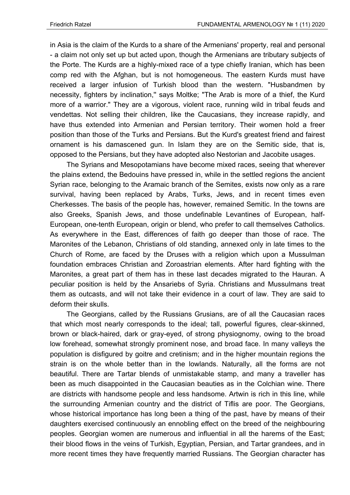in Asia is the claim of the Kurds to a share of the Armenians' property, real and personal - a claim not only set up but acted upon, though the Armenians are tributary subjects of the Porte. The Kurds are a highly-mixed race of a type chiefly Iranian, which has been comp red with the Afghan, but is not homogeneous. The eastern Kurds must have received a larger infusion of Turkish blood than the western. "Husbandmen by necessity, fighters by inclination,'' says Moltke; "The Arab is more of a thief, the Kurd more of a warrior." They are a vigorous, violent race, running wild in tribal feuds and vendettas. Not selling their children, like the Caucasians, they increase rapidly, and have thus extended into Armenian and Persian territory. Their women hold a freer position than those of the Turks and Persians. But the Kurd's greatest friend and fairest ornament is his damascened gun. In Islam they are on the Semitic side, that is, opposed to the Persians, but they have adopted also Nestorian and Jacobite usages.

The Syrians and Mesopotamians have become mixed races, seeing that wherever the plains extend, the Bedouins have pressed in, while in the settled regions the ancient Syrian race, belonging to the Aramaic branch of the Semites, exists now only as a rare survival, having been replaced by Arabs, Turks, Jews, and in recent times even Cherkesses. The basis of the people has, however, remained Semitic. In the towns are also Greeks, Spanish Jews, and those undefinable Levantines of European, half-European, one-tenth European, origin or blend, who prefer to call themselves Catholics. As everywhere in the East, differences of faith go deeper than those of race. The Maronites of the Lebanon, Christians of old standing, annexed only in late times to the Church of Rome, are faced by the Druses with a religion which upon a Mussulman foundation embraces Christian and Zoroastrian elements. After hard fighting with the Maronites, a great part of them has in these last decades migrated to the Hauran. A peculiar position is held by the Ansariebs of Syria. Christians and Mussulmans treat them as outcasts, and will not take their evidence in a court of law. They are said to deform their skulls.

The Georgians, called by the Russians Grusians, are of all the Caucasian races that which most nearly corresponds to the ideal; tall, powerful figures, clear-skinned, brown or black-haired, dark or gray-eyed, of strong physiognomy, owing to the broad low forehead, somewhat strongly prominent nose, and broad face. In many valleys the population is disfigured by goitre and cretinism; and in the higher mountain regions the strain is on the whole better than in the lowlands. Naturally, all the forms are not beautiful. There are Tartar blends of unmistakable stamp, and many a traveller has been as much disappointed in the Caucasian beauties as in the Colchian wine. There are districts with handsome people and less handsome. Artwin is rich in this line, while the surrounding Armenian country and the district of Tiflis are poor. The Georgians, whose historical importance has long been a thing of the past, have by means of their daughters exercised continuously an ennobling effect on the breed of the neighbouring peoples. Georgian women are numerous and influential in all the harems of the East; their blood flows in the veins of Turkish, Egyptian, Persian, and Tartar grandees, and in more recent times they have frequently married Russians. The Georgian character has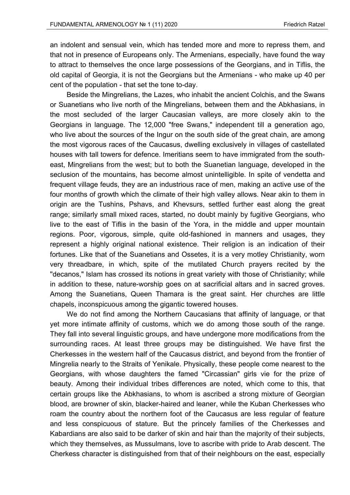an indolent and sensual vein, which has tended more and more to repress them, and that not in presence of Europeans only. The Armenians, especially, have found the way to attract to themselves the once large possessions of the Georgians, and in Tiflis, the old capital of Georgia, it is not the Georgians but the Armenians - who make up 40 per cent of the population - that set the tone to-day.

Beside the Mingrelians, the Lazes, who inhabit the ancient Colchis, and the Swans or Suanetians who live north of the Mingrelians, between them and the Abkhasians, in the most secluded of the larger Caucasian valleys, are more closely akin to the Georgians in language. The 12,000 "free Swans," independent till a generation ago, who live about the sources of the Ingur on the south side of the great chain, are among the most vigorous races of the Caucasus, dwelling exclusively in villages of castellated houses with tall towers for defence. Imeritians seem to have immigrated from the southeast, Mingrelians from the west; but to both the Suanetian language, developed in the seclusion of the mountains, has become almost unintelligible. In spite of vendetta and frequent village feuds, they are an industrious race of men, making an active use of the four months of growth which the climate of their high valley allows. Near akin to them in origin are the Tushins, Pshavs, and Khevsurs, settled further east along the great range; similarly small mixed races, started, no doubt mainly by fugitive Georgians, who live to the east of Tiflis in the basin of the Yora, in the middle and upper mountain regions. Poor, vigorous, simple, quite old-fashioned in manners and usages, they represent a highly original national existence. Their religion is an indication of their fortunes. Like that of the Suanetians and Ossetes, it is a very motley Christianity, worn very threadbare, in which, spite of the mutilated Church prayers recited by the ''decanos," Islam has crossed its notions in great variety with those of Christianity; while in addition to these, nature-worship goes on at sacrificial altars and in sacred groves. Among the Suanetians, Queen Thamara is the great saint. Her churches are little chapels, inconspicuous among the gigantic towered houses.

We do not find among the Northern Caucasians that affinity of language, or that yet more intimate affinity of customs, which we do among those south of the range. They fall into several linguistic groups, and have undergone more modifications from the surrounding races. At least three groups may be distinguished. We have first the Cherkesses in the western half of the Caucasus district, and beyond from the frontier of Mingrelia nearly to the Straits of Yenikale. Physically, these people come nearest to the Georgians, with whose daughters the famed "Circassian" girls vie for the prize of beauty. Among their individual tribes differences are noted, which come to this, that certain groups like the Abkhasians, to whom is ascribed a strong mixture of Georgian blood, are browner of skin, blacker-haired and leaner, while the Kuban Cherkesses who roam the country about the northern foot of the Caucasus are less regular of feature and less conspicuous of stature. But the princely families of the Cherkesses and Kabardians are also said to be darker of skin and hair than the majority of their subjects, which they themselves, as Mussulmans, love to ascribe with pride to Arab descent. The Cherkess character is distinguished from that of their neighbours on the east, especially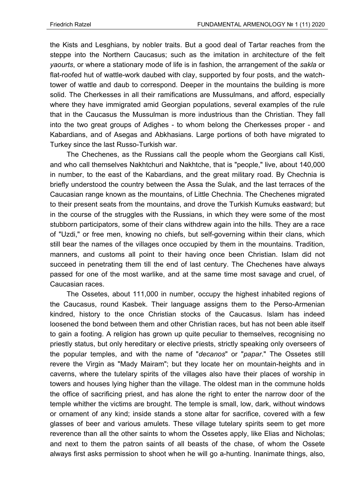the Kists and Lesghians, by nobler traits. But a good deal of Tartar reaches from the steppe into the Northern Caucasus; such as the imitation in architecture of the felt *yaourts*, or where a stationary mode of life is in fashion, the arrangement of the *sakla* or flat-roofed hut of wattle-work daubed with clay, supported by four posts, and the watchtower of wattle and daub to correspond. Deeper in the mountains the building is more solid. The Cherkesses in all their ramifications are Mussulmans, and afford, especially where they have immigrated amid Georgian populations, several examples of the rule that in the Caucasus the Mussulman is more industrious than the Christian. They fall into the two great groups of Adighes - to whom belong the Cherkesses proper - and Kabardians, and of Asegas and Abkhasians. Large portions of both have migrated to Turkey since the last Russo-Turkish war.

The Chechenes, as the Russians call the people whom the Georgians call Kisti, and who call themselves Nakhtchuri and Nakhtche, that is "people," live, about 140,000 in number, to the east of the Kabardians, and the great military road. By Chechnia is briefly understood the country between the Assa the Sulak, and the last terraces of the Caucasian range known as the mountains, of Little Chechnia. The Chechenes migrated to their present seats from the mountains, and drove the Turkish Kumuks eastward; but in the course of the struggles with the Russians, in which they were some of the most stubborn participators, some of their clans withdrew again into the hills. They are a race of "Uzdi," or free men, knowing no chiefs, but self-governing within their clans, which still bear the names of the villages once occupied by them in the mountains. Tradition, manners, and customs all point to their having once been Christian. Islam did not succeed in penetrating them till the end of last century. The Chechenes have always passed for one of the most warlike, and at the same time most savage and cruel, of Caucasian races.

The Ossetes, about 111,000 in number, occupy the highest inhabited regions of the Caucasus, round Kasbek. Their language assigns them to the Perso-Armenian kindred, history to the once Christian stocks of the Caucasus. Islam has indeed loosened the bond between them and other Christian races, but has not been able itself to gain a footing. A religion has grown up quite peculiar to themselves, recognising no priestly status, but only hereditary or elective priests, strictly speaking only overseers of the popular temples, and with the name of "*decanos*" or "*papar*." The Ossetes still revere the Virgin as "Mady Mairam"; but they locate her on mountain-heights and in caverns, where the tutelary spirits of the villages also have their places of worship in towers and houses lying higher than the village. The oldest man in the commune holds the office of sacrificing priest, and has alone the right to enter the narrow door of the temple whither the victims are brought. The temple is small, low, dark, without windows or ornament of any kind; inside stands a stone altar for sacrifice, covered with a few glasses of beer and various amulets. These village tutelary spirits seem to get more reverence than all the other saints to whom the Ossetes apply, like Elias and Nicholas; and next to them the patron saints of all beasts of the chase, of whom the Ossete always first asks permission to shoot when he will go a-hunting. Inanimate things, also,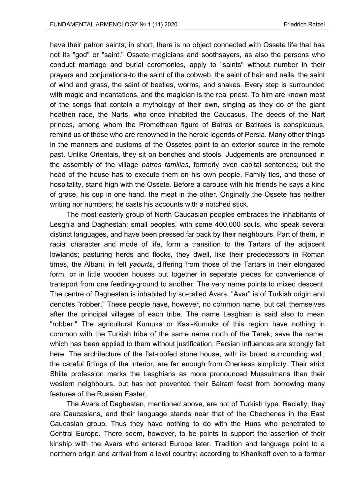have their patron saints; in short, there is no object connected with Ossete life that has not its "god" or "saint." Ossete magicians and soothsayers, as also the persons who conduct marriage and burial ceremonies, apply to "saints" without number in their prayers and conjurations-to the saint of the cobweb, the saint of hair and nails, the saint of wind and grass, the saint of beetles, worms, and snakes. Every step is surrounded with magic and incantations, and the magician is the real priest. To him are known most of the songs that contain a mythology of their own, singing as they do of the giant heathen race, the Narts, who once inhabited the Caucasus. The deeds of the Nart princes, among whom the Promethean figure of Batras or Batiraes is conspicuous, remind us of those who are renowned in the heroic legends of Persia. Many other things in the manners and customs of the Ossetes point to an exterior source in the remote past. Unlike Orientals, they sit on benches and stools. Judgements are pronounced in the assembly of the village *patres familias*, formerly even capital sentences; but the head of the house has to execute them on his own people. Family ties, and those of hospitality, stand high with the Ossete. Before a carouse with his friends he says a kind of grace, his cup in one hand, the meat in the other. Originally the Ossete has neither writing nor numbers; he casts his accounts with a notched stick.

The most easterly group of North Caucasian peoples embraces the inhabitants of Lesghia and Daghestan; small peoples, with some 400,000 souls, who speak several distinct languages, and have been pressed far back by their neighbours. Part of them, in racial character and mode of life, form a transition to the Tartars of the adjacent lowlands; pasturing herds and flocks, they dwell, like their predecessors in Roman times, the Albani, in felt *yaourts*, differing from those of the Tartars in their elongated form, or in little wooden houses put together in separate pieces for convenience of transport from one feeding-ground to another. The very name points to mixed descent. The centre of Daghestan is inhabited by so-called Avars. "Avar" is of Turkish origin and denotes "robber." These people have, however, no common name, but call themselves after the principal villages of each tribe. The name Lesghian is said also to mean "robber." The agricultural Kumuks or Kasi-Kumuks of this region have nothing in common with the Turkish tribe of the same name north of the Terek, save the name, which has been applied to them without justification. Persian influences are strongly felt here. The architecture of the flat-roofed stone house, with its broad surrounding wall, the careful fittings of the interior, are far enough from Cherkess simplicity. Their strict Shiite profession marks the Lesghians as more pronounced Mussulmans than their western neighbours, but has not prevented their Bairam feast from borrowing many features of the Russian Easter.

The Avars of Daghestan, mentioned above, are not of Turkish type. Racially, they are Caucasians, and their language stands near that of the Chechenes in the East Caucasian group. Thus they have nothing to do with the Huns who penetrated to Central Europe. There seem, however, to be points to support the assertion of their kinship with the Avars who entered Europe later. Tradition and language point to a northern origin and arrival from a level country; according to Khanikoff even to a former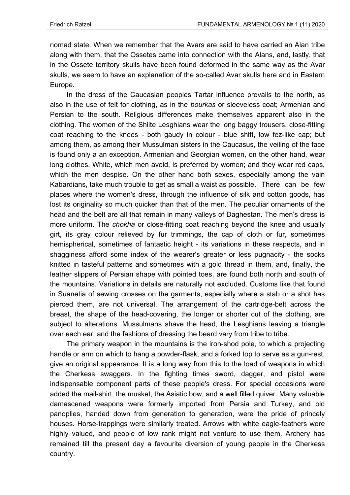nomad state. When we remember that the Avars are said to have carried an Alan tribe along with them, that the Ossetes came into connection with the Alans, and, lastly, that in the Ossete territory skulls have been found deformed in the same way as the Avar skulls, we seem to have an explanation of the so-called Avar skulls here and in Eastern Europe.

In the dress of the Caucasian peoples Tartar influence prevails to the north, as also in the use of felt for clothing, as in the *bourkas* or sleeveless coat; Armenian and Persian to the south. Religious differences make themselves apparent also in the clothing. The women of the Shiite Lesghians wear the long baggy trousers, close-fitting coat reaching to the knees - both gaudy in colour - blue shift, low fez-like cap; but among them, as among their Mussulman sisters in the Caucasus, the veiling of the face is found only a an exception. Armenian and Georgian women, on the other hand, wear long clothes. White, which men avoid, is preferred by women; and they wear red caps, which the men despise. On the other hand both sexes, especially among the vain Kabardians, take much trouble to get as small a waist as possible. There can be few places where the women's dress, through the influence of silk and cotton goods, has lost its originality so much quicker than that of the men. The peculiar ornaments of the head and the belt are all that remain in many valleys of Daghestan. The men's dress is more uniform. The *chokha* or close-fitting coat reaching beyond the knee and usually girt, its gray colour relieved by fur trimmings, the cap of cloth or fur, sometimes hemispherical, sometimes of fantastic height - its variations in these respects, and in shagginess afford some index of the wearer's greater or less pugnacity - the socks knitted in tasteful patterns and sometimes with a gold thread in them, and, finally, the leather slippers of Persian shape with pointed toes, are found both north and south of the mountains. Variations in details are naturally not excluded. Customs like that found in Suanetia of sewing crosses on the garments, especially where a stab or a shot has pierced them, are not universal. The arrangement of the cartridge-belt across the breast, the shape of the head-covering, the longer or shorter cut of the clothing, are subject to alterations. Mussulmans shave the head, the Lesghians leaving a triangle over each ear; and the fashions of dressing the beard vary from tribe to tribe.

The primary weapon in the mountains is the iron-shod pole, to which a projecting handle or arm on which to hang a powder-flask, and a forked top to serve as a gun-rest, give an original appearance. It is a long way from this to the load of weapons in which the Cherkess swaggers. In the fighting times sword, dagger, and pistol were indispensable component parts of these people's dress. For special occasions were added the mail-shirt, the musket, the Asiatic bow, and a well filled quiver. Many valuable damascened weapons were formerly imported from Persia and Turkey, and old panoplies, handed down from generation to generation, were the pride of princely houses. Horse-trappings were similarly treated. Arrows with white eagle-feathers were highly valued, and people of low rank might not venture to use them. Archery has remained till the present day a favourite diversion of young people in the Cherkess country.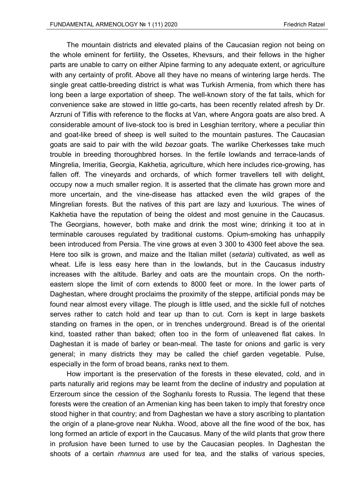The mountain districts and elevated plains of the Caucasian region not being on the whole eminent for fertility, the Ossetes, Khevsurs, and their fellows in the higher parts are unable to carry on either Alpine farming to any adequate extent, or agriculture with any certainty of profit. Above all they have no means of wintering large herds. The single great cattle-breeding district is what was Turkish Armenia, from which there has long been a large exportation of sheep. The well-known story of the fat tails, which for convenience sake are stowed in little go-carts, has been recently related afresh by Dr. Arzruni of Tiflis with reference to the flocks at Van, where Angora goats are also bred. A considerable amount of live-stock too is bred in Lesghian territory, where a peculiar thin and goat-like breed of sheep is well suited to the mountain pastures. The Caucasian goats are said to pair with the wild *bezoar* goats. The warlike Cherkesses take much trouble in breeding thoroughbred horses. In the fertile lowlands and terrace-lands of Mingrelia, Imeritia, Georgia, Kakhetia, agriculture, which here includes rice-growing, has fallen off. The vineyards and orchards, of which former travellers tell with delight, occupy now a much smaller region. It is asserted that the climate has grown more and more uncertain, and the vine-disease has attacked even the wild grapes of the Mingrelian forests. But the natives of this part are lazy and luxurious. The wines of Kakhetia have the reputation of being the oldest and most genuine in the Caucasus. The Georgians, however, both make and drink the most wine; drinking it too at in terminable carouses regulated by traditional customs. Opium-smoking has unhappily been introduced from Persia. The vine grows at even 3 300 to 4300 feet above the sea. Here too silk is grown, and maize and the Italian millet (*setaria*) cultivated, as well as wheat. Life is less easy here than in the lowlands, but in the Caucasus industry increases with the altitude. Barley and oats are the mountain crops. On the northeastern slope the limit of corn extends to 8000 feet or more. In the lower parts of Daghestan, where drought proclaims the proximity of the steppe, artificial ponds may be found near almost every village. The plough is little used, and the sickle full of notches serves rather to catch hold and tear up than to cut. Corn is kept in large baskets standing on frames in the open, or in trenches underground. Bread is of the oriental kind, toasted rather than baked; often too in the form of unleavened flat cakes. In Daghestan it is made of barley or bean-meal. The taste for onions and garlic is very general; in many districts they may be called the chief garden vegetable. Pulse, especially in the form of broad beans, ranks next to them.

How important is the preservation of the forests in these elevated, cold, and in parts naturally arid regions may be learnt from the decline of industry and population at Erzeroum since the cession of the Soghanlu forests to Russia. The legend that these forests were the creation of an Armenian king has been taken to imply that forestry once stood higher in that country; and from Daghestan we have a story ascribing to plantation the origin of a plane-grove near Nukha. Wood, above all the fine wood of the box, has long formed an article of export in the Caucasus. Many of the wild plants that grow there in profusion have been turned to use by the Caucasian peoples. In Daghestan the shoots of a certain *rhamnus* are used for tea, and the stalks of various species,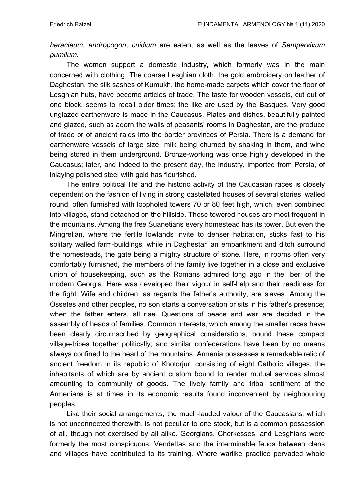*heracleum*, *andropogon*, *cnidium* are eaten, as well as the leaves of *Sempervivum pumilum*.

The women support a domestic industry, which formerly was in the main concerned with clothing. The coarse Lesghian cloth, the gold embroidery on leather of Daghestan, the silk sashes of Kumukh, the home-made carpets which cover the floor of Lesghian huts, have become articles of trade. The taste for wooden vessels, cut out of one block, seems to recall older times; the like are used by the Basques. Very good unglazed earthenware is made in the Caucasus. Plates and dishes, beautifully painted and glazed, such as adorn the walls of peasants' rooms in Daghestan, are the produce of trade or of ancient raids into the border provinces of Persia. There is a demand for earthenware vessels of large size, milk being churned by shaking in them, and wine being stored in them underground. Bronze-working was once highly developed in the Caucasus; later, and indeed to the present day, the industry, imported from Persia, of inlaying polished steel with gold has flourished.

The entire political life and the historic activity of the Caucasian races is closely dependent on the fashion of living in strong castellated houses of several stories, walled round, often furnished with loopholed towers 70 or 80 feet high, which, even combined into villages, stand detached on the hillside. These towered houses are most frequent in the mountains. Among the free Suanetians every homestead has its tower. But even the Mingrelian, where the fertile lowlands invite to denser habitation, sticks fast to his solitary walled farm-buildings, while in Daghestan an embankment and ditch surround the homesteads, the gate being a mighty structure of stone. Here, in rooms often very comfortably furnished, the members of the family live together in a close and exclusive union of housekeeping, such as the Romans admired long ago in the Iberi of the modern Georgia. Here was developed their vigour in self-help and their readiness for the fight. Wife and children, as regards the father's authority, are slaves. Among the Ossetes and other peoples, no son starts a conversation or sits in his father's presence; when the father enters, all rise. Questions of peace and war are decided in the assembly of heads of families. Common interests, which among the smaller races have been clearly circumscribed by geographical considerations, bound these compact village-tribes together politically; and similar confederations have been by no means always confined to the heart of the mountains. Armenia possesses a remarkable relic of ancient freedom in its republic of Khotorjur, consisting of eight Catholic villages, the inhabitants of which are by ancient custom bound to render mutual services almost amounting to community of goods. The lively family and tribal sentiment of the Armenians is at times in its economic results found inconvenient by neighbouring peoples.

Like their social arrangements, the much-lauded valour of the Caucasians, which is not unconnected therewith, is not peculiar to one stock, but is a common possession of all, though not exercised by all alike. Georgians, Cherkesses, and Lesghians were formerly the most conspicuous. Vendettas and the interminable feuds between clans and villages have contributed to its training. Where warlike practice pervaded whole